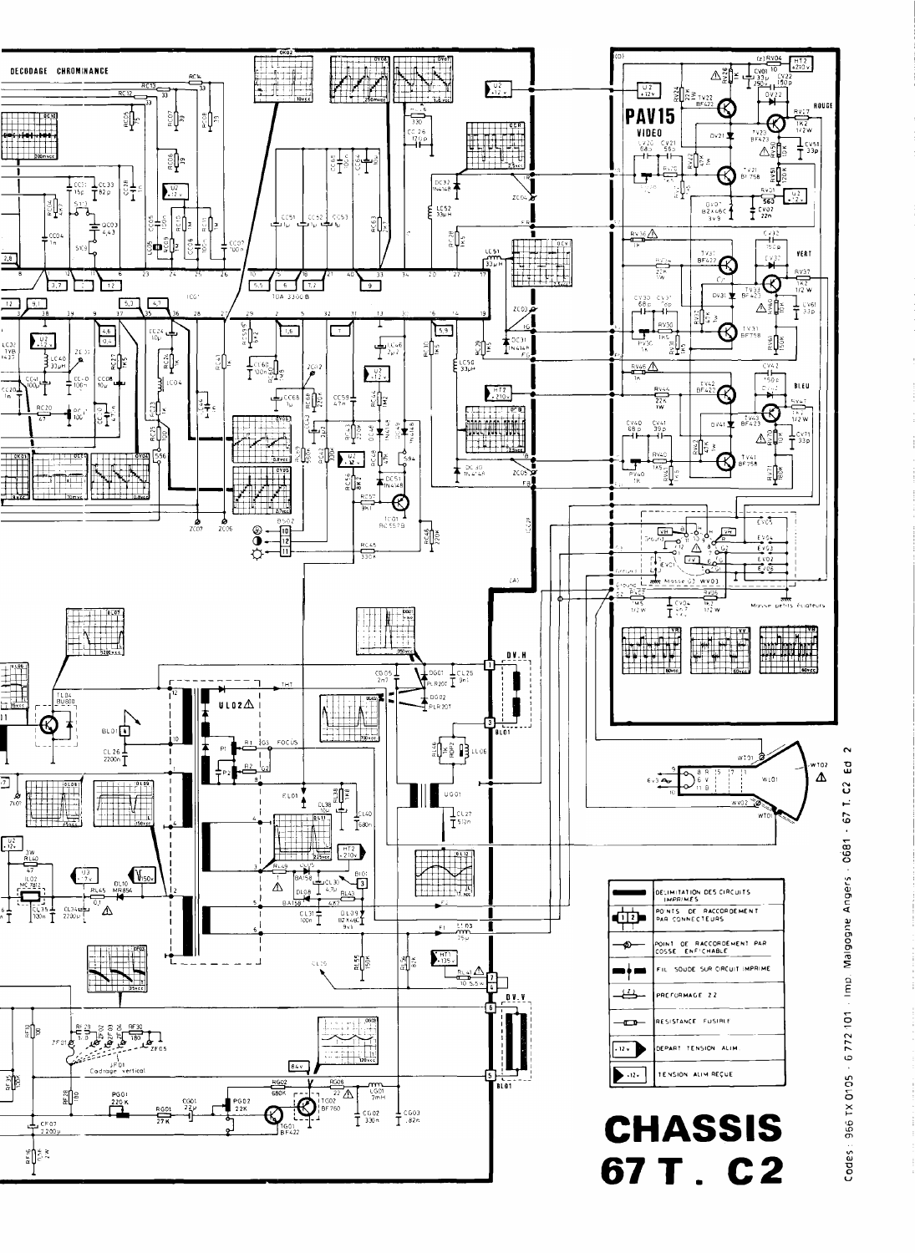

Codes: 956 TX 0105 - 6 772 101 - Imp. Malgogne Angers - 0681 - 67 T. C2 Ed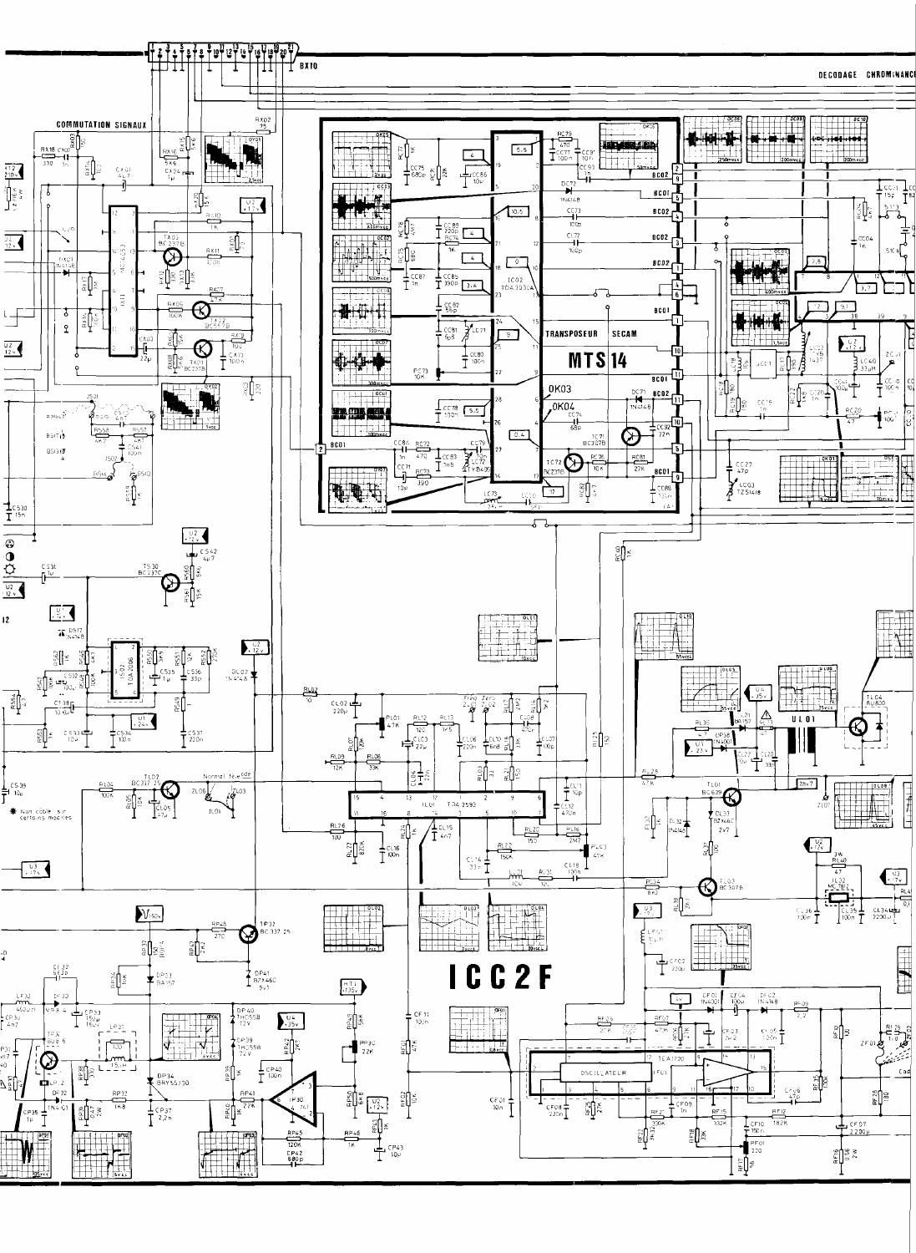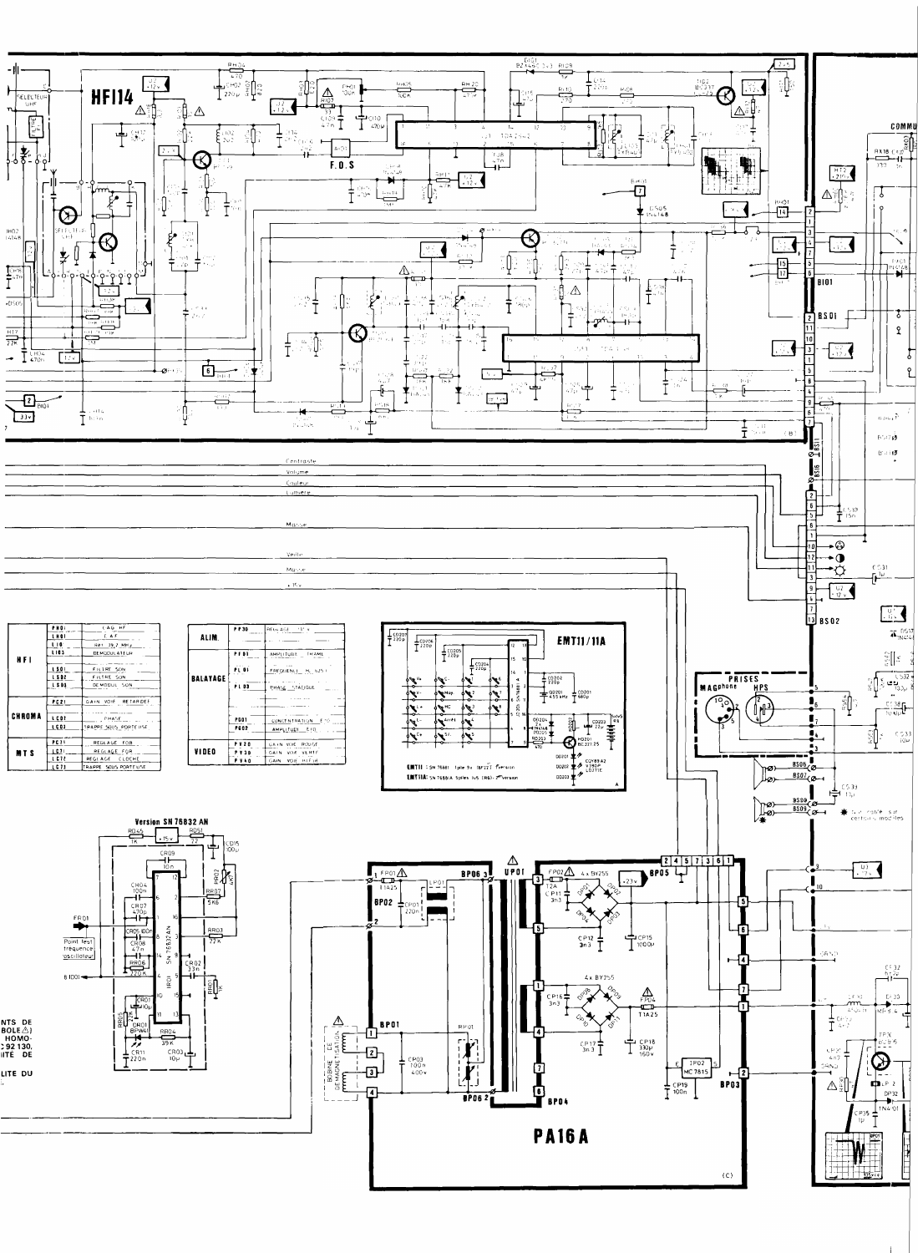

|                                                                                                                                                                                                                                                                               |                                                                                                                                | and the state of the state of<br>- 0<br>$E^{\prime}$ $B$                                                                                                                                                                                                                                                                                                                                                                                                                                                                                                                                                                 |
|-------------------------------------------------------------------------------------------------------------------------------------------------------------------------------------------------------------------------------------------------------------------------------|--------------------------------------------------------------------------------------------------------------------------------|--------------------------------------------------------------------------------------------------------------------------------------------------------------------------------------------------------------------------------------------------------------------------------------------------------------------------------------------------------------------------------------------------------------------------------------------------------------------------------------------------------------------------------------------------------------------------------------------------------------------------|
|                                                                                                                                                                                                                                                                               |                                                                                                                                | $B \rightarrow B$                                                                                                                                                                                                                                                                                                                                                                                                                                                                                                                                                                                                        |
| Contraste                                                                                                                                                                                                                                                                     |                                                                                                                                |                                                                                                                                                                                                                                                                                                                                                                                                                                                                                                                                                                                                                          |
| Volume                                                                                                                                                                                                                                                                        |                                                                                                                                | י≈                                                                                                                                                                                                                                                                                                                                                                                                                                                                                                                                                                                                                       |
| Couleur                                                                                                                                                                                                                                                                       |                                                                                                                                | $\sigma$ —                                                                                                                                                                                                                                                                                                                                                                                                                                                                                                                                                                                                               |
| Lumere                                                                                                                                                                                                                                                                        |                                                                                                                                |                                                                                                                                                                                                                                                                                                                                                                                                                                                                                                                                                                                                                          |
|                                                                                                                                                                                                                                                                               |                                                                                                                                |                                                                                                                                                                                                                                                                                                                                                                                                                                                                                                                                                                                                                          |
|                                                                                                                                                                                                                                                                               |                                                                                                                                |                                                                                                                                                                                                                                                                                                                                                                                                                                                                                                                                                                                                                          |
| Marise                                                                                                                                                                                                                                                                        |                                                                                                                                |                                                                                                                                                                                                                                                                                                                                                                                                                                                                                                                                                                                                                          |
|                                                                                                                                                                                                                                                                               |                                                                                                                                |                                                                                                                                                                                                                                                                                                                                                                                                                                                                                                                                                                                                                          |
| Veile                                                                                                                                                                                                                                                                         |                                                                                                                                |                                                                                                                                                                                                                                                                                                                                                                                                                                                                                                                                                                                                                          |
|                                                                                                                                                                                                                                                                               |                                                                                                                                |                                                                                                                                                                                                                                                                                                                                                                                                                                                                                                                                                                                                                          |
| Marcher                                                                                                                                                                                                                                                                       |                                                                                                                                | $\pm$ 31                                                                                                                                                                                                                                                                                                                                                                                                                                                                                                                                                                                                                 |
| $+1c$ v                                                                                                                                                                                                                                                                       |                                                                                                                                |                                                                                                                                                                                                                                                                                                                                                                                                                                                                                                                                                                                                                          |
|                                                                                                                                                                                                                                                                               |                                                                                                                                |                                                                                                                                                                                                                                                                                                                                                                                                                                                                                                                                                                                                                          |
|                                                                                                                                                                                                                                                                               |                                                                                                                                | -∪ t                                                                                                                                                                                                                                                                                                                                                                                                                                                                                                                                                                                                                     |
|                                                                                                                                                                                                                                                                               |                                                                                                                                | a da ya 1<br><b>U</b> 3 BS 02                                                                                                                                                                                                                                                                                                                                                                                                                                                                                                                                                                                            |
| PHOL<br>CAG HF<br><b>PP30</b><br>$^1$ REGIAUE $^1$ 3° v.<br>والمستنبين<br>the contract of the company of the                                                                                                                                                                  | -----                                                                                                                          | $\mathbf{\bar{A}}_{\text{INGA}}^{\text{DSL}}$                                                                                                                                                                                                                                                                                                                                                                                                                                                                                                                                                                            |
| <b>LHOI</b><br>ALIM.<br>A F<br>---------                                                                                                                                                                                                                                      | $\frac{1}{7}$ $\frac{1}{2}$ $\frac{1}{2}$ $\frac{1}{2}$ $\frac{1}{2}$ $\frac{1}{2}$<br><b>EMT11/11A</b><br>$\frac{1}{1}$ CD206 |                                                                                                                                                                                                                                                                                                                                                                                                                                                                                                                                                                                                                          |
| LIO REI 392 MHZ<br>$\frac{1}{2}$ PF01<br>AMPLITUDE THAME                                                                                                                                                                                                                      | $\left  \frac{1}{T} \right $ (D205)<br>$\mathbf{r}$                                                                            |                                                                                                                                                                                                                                                                                                                                                                                                                                                                                                                                                                                                                          |
| HFI<br>_____________<br>$\mathcal{L}(\mathcal{A},\mathcal{A})$ , and $\mathcal{L}(\mathcal{A},\mathcal{A})$<br><b>PL 01</b><br>$\sim 100$                                                                                                                                     | <u>да</u><br>$\frac{1}{7}$ 220p                                                                                                | $\begin{array}{c}\begin{array}{c}\begin{smallmatrix}C\\U\end{smallmatrix}\\ \begin{smallmatrix}U\end{smallmatrix}\end{array}\end{array}\begin{bmatrix}\begin{smallmatrix}C\\U\end{smallmatrix}\end{bmatrix}=\begin{array}{c}\begin{smallmatrix}C\\U\end{smallmatrix}\\ \begin{smallmatrix}U\end{smallmatrix}\end{array}$                                                                                                                                                                                                                                                                                                 |
| LS01<br>FILIRE SON<br>$F^R$ $F^R$ $D^U$ $F^M$ $F^M$ $F^M$ $F^M$ $F^M$<br>$ISDZ$<br>FILTRE SON<br>BALAYAGE [<br>$\overline{\phantom{a}}$                                                                                                                                       | 14.<br>___________<br>$\frac{1}{7}$ $\frac{10202}{220p}$<br>∲९≮्भ<br>⋰                                                         | <b>PRISES</b>                                                                                                                                                                                                                                                                                                                                                                                                                                                                                                                                                                                                            |
| الرابعة وسابق المرابط<br>$\mathcal{L}^{\mathcal{L}}(\mathcal{L}^{\mathcal{L}})$ and $\mathcal{L}^{\mathcal{L}}(\mathcal{L}^{\mathcal{L}})$ .<br>_____<br>LSD1<br>DEMODUL SON<br>PLD3<br>PHASE STATIGUE<br>$\frac{1}{2}$ and $\frac{1}{2}$ and $\frac{1}{2}$ and $\frac{1}{2}$ |                                                                                                                                | <b>MAGPhone</b><br><b>HPS</b>                                                                                                                                                                                                                                                                                                                                                                                                                                                                                                                                                                                            |
| الكعما كطاح والمار<br>$\overline{\phantom{a}}$<br>GAIN VOIR RETARDER<br>P C 21                                                                                                                                                                                                | $\frac{1}{255 \text{ MHz}}$ $\frac{1}{100201}$<br>$\phi$<br><b>PRAIDY</b><br>$-0$                                              | <b>CONTRACTOR</b>                                                                                                                                                                                                                                                                                                                                                                                                                                                                                                                                                                                                        |
| - -<br>$\cdots$ $\cdots$<br>————                                                                                                                                                                                                                                              | 外行<br><b>AHC</b><br>$\sum_{i=1}^{n}$<br>$\phi$<br><b>∽∼∼</b>                                                                   | $^{10}24$<br>$-\frac{C[38]}{1000}$                                                                                                                                                                                                                                                                                                                                                                                                                                                                                                                                                                                       |
| CHROMA<br>____<br>LCDZ<br>$\sim$ $\sim$<br>$\frac{1}{\sqrt{1-\frac{1}{2}}}\int_{0}^{\frac{1}{2}}\frac{f(HA^{2}S_{1}F_{1}}{1-\frac{1}{2}})dx$<br><b>PG01</b><br>CUNCENTRATION EN<br>________                                                                                   | ╶┿╍╍╼╼<br><b>Assistant Adventure</b><br>$\frac{00204}{2}$<br>√∕ हैं<br>$A$ the $A$<br>ឪា                                       |                                                                                                                                                                                                                                                                                                                                                                                                                                                                                                                                                                                                                          |
| $\overline{\phantom{a}}$ . C 0 3<br>TRAPPE SOUS PORTEUSE<br><b>PG02</b><br>AMPLITUDE EID<br>مستناها المرادي                                                                                                                                                                   | $\frac{\frac{1}{22}}{\frac{1}{22}}$<br>8 11N4148<br>კა≖ია<br>$\lambda$ site<br>645                                             | $\begin{bmatrix} 0 \\ 0 \\ 1 \end{bmatrix}$<br>C 533                                                                                                                                                                                                                                                                                                                                                                                                                                                                                                                                                                     |
| PCTL<br>REGLAGE FOR<br><b>PV20</b><br>UAIN VOIE ROUGE<br>$\sim$<br>$-- - -$                                                                                                                                                                                                   | 套<br>RO203<br>$\bigoplus$ HD201<br>—————<br>╼ञ—<br>╼                                                                           | $-10\nu$                                                                                                                                                                                                                                                                                                                                                                                                                                                                                                                                                                                                                 |
| <b>VIDEO</b><br>167<br>REGLAGE FOR<br><b>MTS</b><br>GAIN VOIE VERTE<br><b>PY3D</b><br>L C 72<br>REGLAGE CLOCHE<br>GAIN VOIE HIFTH                                                                                                                                             | - 00201 年名。                                                                                                                    |                                                                                                                                                                                                                                                                                                                                                                                                                                                                                                                                                                                                                          |
| <b>P V 4 0</b><br>$\lfloor$ C 7 3<br>TRAPPE SOUS PORTEUSE                                                                                                                                                                                                                     | <b>EMTII</b> : SN 76881 - Ipite 9v (6F22) Eversion                                                                             | $mg = \frac{B506}{C}$                                                                                                                                                                                                                                                                                                                                                                                                                                                                                                                                                                                                    |
|                                                                                                                                                                                                                                                                               | EMTIIA: SN 76881A Spiles Tv5 (R6)-2mVersion<br>DD203 $\blacktriangleright$                                                     | $rac{8507}{2}$<br>⊥∕Ø)—                                                                                                                                                                                                                                                                                                                                                                                                                                                                                                                                                                                                  |
|                                                                                                                                                                                                                                                                               |                                                                                                                                | (53)<br>停心                                                                                                                                                                                                                                                                                                                                                                                                                                                                                                                                                                                                               |
|                                                                                                                                                                                                                                                                               |                                                                                                                                | $\frac{BSOB}{ESCO}$<br>$\gamma$                                                                                                                                                                                                                                                                                                                                                                                                                                                                                                                                                                                          |
|                                                                                                                                                                                                                                                                               |                                                                                                                                | $\frac{8509}{2}$<br>$\begin{tabular}{ll} \quad \bullet\textcolor{red}{\bigstar} & \textcolor{red}{\bigstar} & \textcolor{red}{\bigstar} & \textcolor{red}{\bigstar} & \textcolor{red}{\bigstar} & \textcolor{red}{\bigstar} & \textcolor{red}{\bigstar} \\ & \textcolor{red}{\bigstar} & \textcolor{red}{\bigstar} & \textcolor{red}{\bigstar} & \textcolor{red}{\bigstar} & \textcolor{red}{\bigstar} & \textcolor{red}{\bigstar} & \textcolor{red}{\bigstar} \\ & \textcolor{red}{\bigstar} & \textcolor{red}{\bigstar} & \textcolor{red}{\bigstar} & \textcolor{red}{\bigstar} & \textcolor{red}{\big$<br><b>Lo</b> — |
| <b>Version SN 76832 AN</b>                                                                                                                                                                                                                                                    |                                                                                                                                | $V_{\mathbf{H}}$                                                                                                                                                                                                                                                                                                                                                                                                                                                                                                                                                                                                         |
| RD45                                                                                                                                                                                                                                                                          |                                                                                                                                |                                                                                                                                                                                                                                                                                                                                                                                                                                                                                                                                                                                                                          |
| LD15.                                                                                                                                                                                                                                                                         |                                                                                                                                |                                                                                                                                                                                                                                                                                                                                                                                                                                                                                                                                                                                                                          |